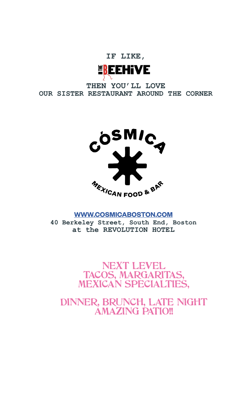

**THEN YOU'LL LOVE OUR SISTER RESTAURANT AROUND THE CORNER**



#### **WWW.COSMICABOSTON.COM**

**40 Berkeley Street, South End, Boston at the REVOLUTION HOTEL**

> NEXT LEVEL TACOS, MARGARITAS, MEXICAN SPECIALTIES,

DINNER, BRUNCH, LATE NIGHT AMAZING PATIO!!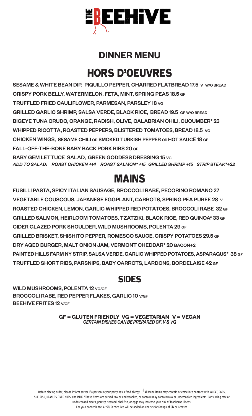

#### **DINNER MENU**

# HORS D'OEUVRES

SESAME & WHITE BEAN DIP, PIQUILLO PEPPER, CHARRED FLATBREAD 17.5 V W/O BREAD CRISPY PORK BELLY, WATERMELON, FETA, MINT, SPRING PEAS 18.5 GF TRUFFLED FRIED CAULIFLOWER, PARMESAN, PARSLEY 18 VG GRILLED GARLIC SHRIMP, SALSA VERDE, BLACK RICE, BREAD 19.5 GF W/O BREAD BIGEYE TUNA CRUDO, ORANGE, RADISH, OLIVE, CALABRIAN CHILI, CUCUMBER\* 23 WHIPPED RICOTTA, ROASTED PEPPERS, BLISTERED TOMATOES, BREAD 18.5 VG CHICKEN WINGS, SESAME CHILI OR SMOKED TURKISH PEPPER OR HOT SAUCE 18 GF FALL-OFF-THE-BONE BABY BACK PORK RIBS 20 GF BABY GEM LETTUCE SALAD, GREEN GODDESS DRESSING 15 VG *ADD TO SALAD: ROAST CHICKEN +14 ROAST SALMON\* +15 GRILLED SHRIMP +15 STRIP STEAK\*+22*

## MAINS

FUSILLI PASTA, SPICY ITALIAN SAUSAGE, BROCCOLI RABE, PECORINO ROMANO 27 VEGETABLE COUSCOUS, JAPANESE EGGPLANT, CARROTS, SPRING PEA PUREE 28 V ROASTED CHICKEN, LEMON, GARLIC WHIPPED RED POTATOES, BROCCOLI RABE 32 GF GRILLED SALMON, HEIRLOOM TOMATOES, TZATZIKI, BLACK RICE, RED QUINOA\* 33 GF CIDER GLAZED PORK SHOULDER, WILD MUSHROOMS, POLENTA 29 GF GRILLED BRISKET, SHISHITO PEPPER, ROMESCO SAUCE, CRISPY POTATOES 29.5 GF DRY AGED BURGER, MALT ONION JAM, VERMONT CHEDDAR\* 20 BACON+2 PAINTED HILLS FARM NY STRIP, SALSA VERDE, GARLIC WHIPPED POTATOES, ASPARAGUS\* 38 GF TRUFFLED SHORT RIBS, PARSNIPS, BABY CARROTS, LARDONS, BORDELAISE 42 GF

#### SIDES

WILD MUSHROOMS, POLENTA 12 VG/GF BROCCOLI RABE, RED PEPPER FLAKES, GARLIC 10 V/GF BEEHIVE FRITES 12 V/GF

> **GF = GLUTEN FRIENDLY VG = VEGETARIAN V = VEGAN** *CERTAIN DISHES CAN BE PREPARED GF, V & VG*

Before placing order, please inform server if a person in your party has a food allergy. **†** All Menu items may contain or come into contact with WHEAT, EGGS, SHELFISH, PEANUTS, TREE NUTS, and MILK. \*These items are served raw or undercooked, or contain (may contain) raw or undercooked ingredients. Consuming raw or undercooked meats, poultry, seafood, shellfish, or eggs may increase your risk of foodborne illness. For your convenience, A 22% Service Fee will be added on Checks for Groups of Six or Greater.